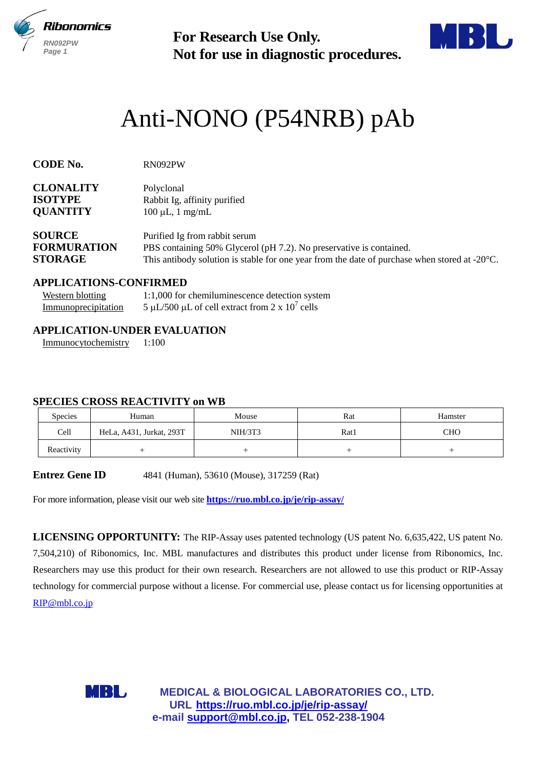

**Not for use in diagnostic procedures.**



# Anti-NONO (P54NRB) pAb

**CODE No.** RN092PW

| <b>CLONALITY</b>   | Polyclonal                                                          |
|--------------------|---------------------------------------------------------------------|
| <b>ISOTYPE</b>     | Rabbit Ig, affinity purified                                        |
| <b>QUANTITY</b>    | $100 \mu L$ , 1 mg/mL                                               |
| <b>SOURCE</b>      | Purified Ig from rabbit serum                                       |
| <b>FORMURATION</b> | PBS containing 50% Glycerol (pH 7.2). No preservative is contained. |

# **STORAGE** This antibody solution is stable for one year from the date of purchase when stored at -20°C.

#### **APPLICATIONS-CONFIRMED**

| <b>Western blotting</b> | 1:1,000 for chemiluminescence detection system    |
|-------------------------|---------------------------------------------------|
| Immunoprecipitation     | 5 µL/500 µL of cell extract from 2 x $10^7$ cells |

## **APPLICATION-UNDER EVALUATION**

Immunocytochemistry 1:100

#### **SPECIES CROSS REACTIVITY on WB**

| <b>Species</b> | Human                    | Mouse   | Rat  | Hamster    |
|----------------|--------------------------|---------|------|------------|
| Cell           | HeLa, A431, Jurkat, 293T | NIH/3T3 | Rat1 | <b>CHO</b> |
| Reactivity     |                          |         |      |            |

**Entrez Gene ID** 4841 (Human), 53610 (Mouse), 317259 (Rat)

For more information, please visit our web site **<https://ruo.mbl.co.jp/je/rip-assay/>**

For Research Use Only.<br>
Not for use in diagnostic procedure<br>
ti-NONO (P54NRB) p<br>
substite and the summary supported<br>
the support of  $\mu$ , a finally purified<br>
of  $\mu$ ,  $\mu$ ,  $m_{\rm g}$  imally purified<br>
is a such and the summa **LICENSING OPPORTUNITY:** The RIP-Assay uses patented technology (US patent No. 6,635,422, US patent No. 7,504,210) of Ribonomics, Inc. MBL manufactures and distributes this product under license from Ribonomics, Inc. Researchers may use this product for their own research. Researchers are not allowed to use this product or RIP-Assay technology for commercial purpose without a license. For commercial use, please contact us for licensing opportunities at [RIP@mbl.co.jp](mailto:RIP@mbl.co.jp)



**MEDICAL & BIOLOGICAL LABORATORIES CO., LTD. URL https://ruo.mbl.co.jp/je/rip-assay/**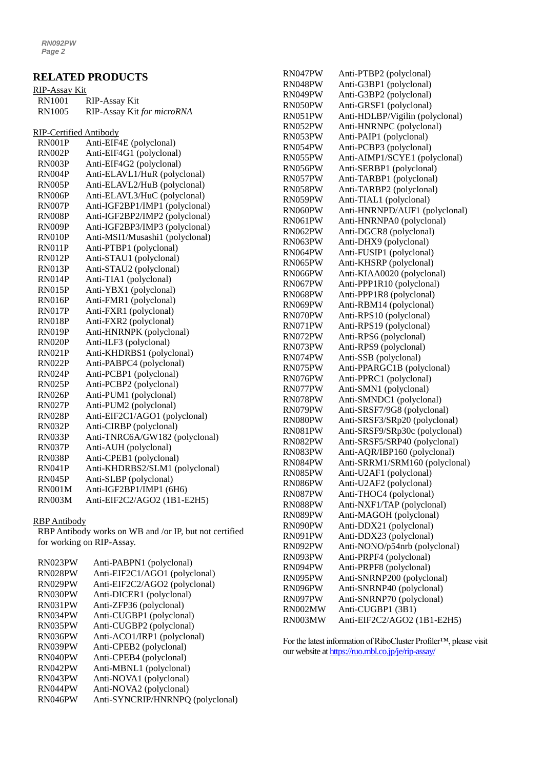# **RELATED PRODUCTS**

| RIP-Assay Kit |                            |
|---------------|----------------------------|
| RN1001        | RIP-Assay Kit              |
| RN1005        | RIP-Assay Kit for microRNA |

RIP-Certified Antibody

| <b>RN001P</b> | Anti-EIF4E (polyclonal)         |
|---------------|---------------------------------|
| <b>RN002P</b> | Anti-EIF4G1 (polyclonal)        |
| <b>RN003P</b> | Anti-EIF4G2 (polyclonal)        |
| RN004P        | Anti-ELAVL1/HuR (polyclonal)    |
| <b>RN005P</b> | Anti-ELAVL2/HuB (polyclonal)    |
| <b>RN006P</b> | Anti-ELAVL3/HuC (polyclonal)    |
| <b>RN007P</b> | Anti-IGF2BP1/IMP1 (polyclonal)  |
| <b>RN008P</b> | Anti-IGF2BP2/IMP2 (polyclonal)  |
| RN009P        | Anti-IGF2BP3/IMP3 (polyclonal)  |
| RN010P        | Anti-MSI1/Musashi1 (polyclonal) |
| <b>RN011P</b> | Anti-PTBP1 (polyclonal)         |
| <b>RN012P</b> | Anti-STAU1 (polyclonal)         |
| RN013P        | Anti-STAU2 (polyclonal)         |
| <b>RN014P</b> | Anti-TIA1 (polyclonal)          |
| <b>RN015P</b> | Anti-YBX1 (polyclonal)          |
| <b>RN016P</b> | Anti-FMR1 (polyclonal)          |
| <b>RN017P</b> | Anti-FXR1 (polyclonal)          |
| <b>RN018P</b> | Anti-FXR2 (polyclonal)          |
| RN019P        | Anti-HNRNPK (polyclonal)        |
| <b>RN020P</b> | Anti-ILF3 (polyclonal)          |
| <b>RN021P</b> | Anti-KHDRBS1 (polyclonal)       |
| <b>RN022P</b> | Anti-PABPC4 (polyclonal)        |
| <b>RN024P</b> | Anti-PCBP1 (polyclonal)         |
| <b>RN025P</b> | Anti-PCBP2 (polyclonal)         |
| RN026P        | Anti-PUM1 (polyclonal)          |
| <b>RN027P</b> | Anti-PUM2 (polyclonal)          |
| <b>RN028P</b> | Anti-EIF2C1/AGO1 (polyclonal)   |
| <b>RN032P</b> | Anti-CIRBP (polyclonal)         |
| <b>RN033P</b> | Anti-TNRC6A/GW182 (polyclonal)  |
| <b>RN037P</b> | Anti-AUH (polyclonal)           |
| RN038P        | Anti-CPEB1 (polyclonal)         |
| <b>RN041P</b> | Anti-KHDRBS2/SLM1 (polyclonal)  |
| <b>RN045P</b> | Anti-SLBP (polyclonal)          |
| <b>RN001M</b> | Anti-IGF2BP1/IMP1 (6H6)         |
| <b>RN003M</b> | Anti-EIF2C2/AGO2 (1B1-E2H5)     |

#### RBP Antibody

RBP Antibody works on WB and /or IP, but not certified for working on RIP-Assay.

| RN023PW | Anti-PABPN1 (polyclonal)         |
|---------|----------------------------------|
| RN028PW | Anti-EIF2C1/AGO1 (polyclonal)    |
| RN029PW | Anti-EIF2C2/AGO2 (polyclonal)    |
| RN030PW | Anti-DICER1 (polyclonal)         |
| RN031PW | Anti-ZFP36 (polyclonal)          |
| RN034PW | Anti-CUGBP1 (polyclonal)         |
| RN035PW | Anti-CUGBP2 (polyclonal)         |
| RN036PW | Anti-ACO1/IRP1 (polyclonal)      |
| RN039PW | Anti-CPEB2 (polyclonal)          |
| RN040PW | Anti-CPEB4 (polyclonal)          |
| RN042PW | Anti-MBNL1 (polyclonal)          |
| RN043PW | Anti-NOVA1 (polyclonal)          |
| RN044PW | Anti-NOVA2 (polyclonal)          |
| RN046PW | Anti-SYNCRIP/HNRNPQ (polyclonal) |

| RN047PW | Anti-PTBP2 (polyclonal)         |
|---------|---------------------------------|
| RN048PW | Anti-G3BP1 (polyclonal)         |
| RN049PW | Anti-G3BP2 (polyclonal)         |
| RN050PW | Anti-GRSF1 (polyclonal)         |
| RN051PW | Anti-HDLBP/Vigilin (polyclonal) |
| RN052PW | Anti-HNRNPC (polyclonal)        |
| RN053PW | Anti-PAIP1 (polyclonal)         |
| RN054PW | Anti-PCBP3 (polyclonal)         |
| RN055PW | Anti-AIMP1/SCYE1 (polyclonal)   |
| RN056PW | Anti-SERBP1 (polyclonal)        |
| RN057PW | Anti-TARBP1 (polyclonal)        |
| RN058PW | Anti-TARBP2 (polyclonal)        |
| RN059PW | Anti-TIAL1 (polyclonal)         |
| RN060PW | Anti-HNRNPD/AUF1 (polyclonal)   |
| RN061PW | Anti-HNRNPA0 (polyclonal)       |
| RN062PW | Anti-DGCR8 (polyclonal)         |
| RN063PW | Anti-DHX9 (polyclonal)          |
| RN064PW | Anti-FUSIP1 (polyclonal)        |
| RN065PW | Anti-KHSRP (polyclonal)         |
| RN066PW | Anti-KIAA0020 (polyclonal)      |
| RN067PW | Anti-PPP1R10 (polyclonal)       |
| RN068PW | Anti-PPP1R8 (polyclonal)        |
| RN069PW | Anti-RBM14 (polyclonal)         |
| RN070PW | Anti-RPS10 (polyclonal)         |
| RN071PW | Anti-RPS19 (polyclonal)         |
| RN072PW | Anti-RPS6 (polyclonal)          |
| RN073PW | Anti-RPS9 (polyclonal)          |
| RN074PW | Anti-SSB (polyclonal)           |
| RN075PW | Anti-PPARGC1B (polyclonal)      |
| RN076PW | Anti-PPRC1 (polyclonal)         |
| RN077PW | Anti-SMN1 (polyclonal)          |
| RN078PW | Anti-SMNDC1 (polyclonal)        |
| RN079PW | Anti-SRSF7/9G8 (polyclonal)     |
| RN080PW | Anti-SRSF3/SRp20 (polyclonal)   |
| RN081PW | Anti-SRSF9/SRp30c (polyclonal)  |
| RN082PW | Anti-SRSF5/SRP40 (polyclonal)   |
| RN083PW | Anti-AQR/IBP160 (polyclonal)    |
| RN084PW | Anti-SRRM1/SRM160 (polyclonal)  |
| RN085PW | Anti-U2AF1 (polyclonal)         |
| RN086PW | Anti-U2AF2 (polyclonal)         |
| RN087PW | Anti-THOC4 (polyclonal)         |
| RN088PW | Anti-NXF1/TAP (polyclonal)      |
| RN089PW | Anti-MAGOH (polyclonal)         |
| RN090PW | Anti-DDX21 (polyclonal)         |
| RN091PW | Anti-DDX23 (polyclonal)         |
| RN092PW | Anti-NONO/p54nrb (polyclonal)   |
| RN093PW | Anti-PRPF4 (polyclonal)         |
| RN094PW | Anti-PRPF8 (polyclonal)         |
| RN095PW | Anti-SNRNP200 (polyclonal)      |
| RN096PW | Anti-SNRNP40 (polyclonal)       |
| RN097PW | Anti-SNRNP70 (polyclonal)       |
| RN002MW | Anti-CUGBP1 (3B1)               |
| RN003MW | Anti-EIF2C2/AGO2 (1B1-E2H5)     |
|         |                                 |

For the latest information of RiboCluster Profiler™, please visit our website a[t https://ruo.mbl.co.jp/je/rip-assay/](https://ruo.mbl.co.jp/je/rip-assay/)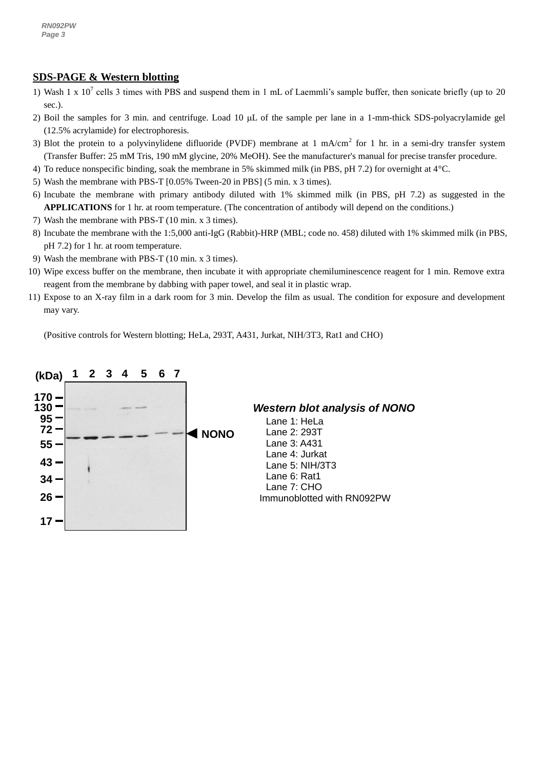### **SDS-PAGE & Western blotting**

- 1) Wash 1 x  $10^7$  cells 3 times with PBS and suspend them in 1 mL of Laemmli's sample buffer, then sonicate briefly (up to 20 sec.).
- 2) Boil the samples for 3 min. and centrifuge. Load 10  $\mu$ L of the sample per lane in a 1-mm-thick SDS-polyacrylamide gel (12.5% acrylamide) for electrophoresis.
- 3) Blot the protein to a polyvinylidene difluoride (PVDF) membrane at 1 mA/cm<sup>2</sup> for 1 hr. in a semi-dry transfer system (Transfer Buffer: 25 mM Tris, 190 mM glycine, 20% MeOH). See the manufacturer's manual for precise transfer procedure.
- 4) To reduce nonspecific binding, soak the membrane in 5% skimmed milk (in PBS, pH 7.2) for overnight at 4°C.
- 5) Wash the membrane with PBS-T [0.05% Tween-20 in PBS] (5 min. x 3 times).
- 6) Incubate the membrane with primary antibody diluted with 1% skimmed milk (in PBS, pH 7.2) as suggested in the **APPLICATIONS** for 1 hr. at room temperature. (The concentration of antibody will depend on the conditions.)
- 7) Wash the membrane with PBS-T (10 min. x 3 times).
- 8) Incubate the membrane with the 1:5,000 anti-IgG (Rabbit)-HRP (MBL; code no. 458) diluted with 1% skimmed milk (in PBS, pH 7.2) for 1 hr. at room temperature.
- 9) Wash the membrane with PBS-T (10 min. x 3 times).
- 10) Wipe excess buffer on the membrane, then incubate it with appropriate chemiluminescence reagent for 1 min. Remove extra reagent from the membrane by dabbing with paper towel, and seal it in plastic wrap.
- 11) Expose to an X-ray film in a dark room for 3 min. Develop the film as usual. The condition for exposure and development may vary.

(Positive controls for Western blotting; HeLa, 293T, A431, Jurkat, NIH/3T3, Rat1 and CHO)

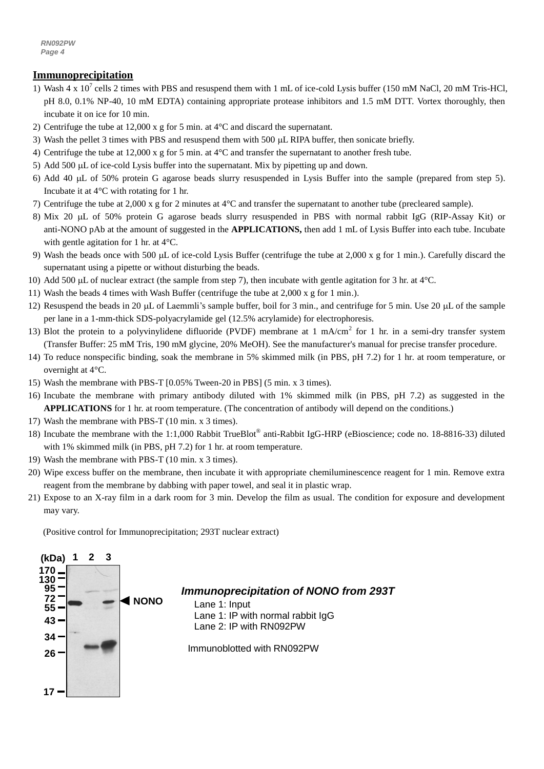*RN092PW Page 4*

#### **Immunoprecipitation**

- 1) Wash 4 x  $10^7$  cells 2 times with PBS and resuspend them with 1 mL of ice-cold Lysis buffer (150 mM NaCl, 20 mM Tris-HCl, pH 8.0, 0.1% NP-40, 10 mM EDTA) containing appropriate protease inhibitors and 1.5 mM DTT. Vortex thoroughly, then incubate it on ice for 10 min.
- 2) Centrifuge the tube at 12,000 x g for 5 min. at  $4^{\circ}$ C and discard the supernatant.
- 3) Wash the pellet 3 times with PBS and resuspend them with 500 µL RIPA buffer, then sonicate briefly.
- 4) Centrifuge the tube at 12,000 x g for 5 min. at 4°C and transfer the supernatant to another fresh tube.
- 5) Add 500 µL of ice-cold Lysis buffer into the supernatant. Mix by pipetting up and down.
- 6) Add 40 L of 50% protein G agarose beads slurry resuspended in Lysis Buffer into the sample (prepared from step 5). Incubate it at 4°C with rotating for 1 hr.
- 7) Centrifuge the tube at 2,000 x g for 2 minutes at 4°C and transfer the supernatant to another tube (precleared sample).
- 8) Mix 20 µL of 50% protein G agarose beads slurry resuspended in PBS with normal rabbit IgG (RIP-Assay Kit) or anti-NONO pAb at the amount of suggested in the **APPLICATIONS,** then add 1 mL of Lysis Buffer into each tube. Incubate with gentle agitation for 1 hr. at 4°C.
- 9) Wash the beads once with 500  $\mu$ L of ice-cold Lysis Buffer (centrifuge the tube at 2,000 x g for 1 min.). Carefully discard the supernatant using a pipette or without disturbing the beads.
- 10) Add 500  $\mu$ L of nuclear extract (the sample from step 7), then incubate with gentle agitation for 3 hr. at 4°C.
- 11) Wash the beads 4 times with Wash Buffer (centrifuge the tube at 2,000 x g for 1 min.).
- 12) Resuspend the beads in 20  $\mu$ L of Laemmli's sample buffer, boil for 3 min., and centrifuge for 5 min. Use 20  $\mu$ L of the sample per lane in a 1-mm-thick SDS-polyacrylamide gel (12.5% acrylamide) for electrophoresis.
- 13) Blot the protein to a polyvinylidene difluoride (PVDF) membrane at 1 mA/cm<sup>2</sup> for 1 hr. in a semi-dry transfer system (Transfer Buffer: 25 mM Tris, 190 mM glycine, 20% MeOH). See the manufacturer's manual for precise transfer procedure.
- 14) To reduce nonspecific binding, soak the membrane in 5% skimmed milk (in PBS, pH 7.2) for 1 hr. at room temperature, or overnight at 4°C.
- 15) Wash the membrane with PBS-T [0.05% Tween-20 in PBS] (5 min. x 3 times).
- 16) Incubate the membrane with primary antibody diluted with 1% skimmed milk (in PBS, pH 7.2) as suggested in the **APPLICATIONS** for 1 hr. at room temperature. (The concentration of antibody will depend on the conditions.)
- 17) Wash the membrane with PBS-T (10 min. x 3 times).
- 18) Incubate the membrane with the 1:1,000 Rabbit TrueBlot® anti-Rabbit IgG-HRP (eBioscience; code no. 18-8816-33) diluted with 1% skimmed milk (in PBS, pH 7.2) for 1 hr. at room temperature.
- 19) Wash the membrane with PBS-T (10 min. x 3 times).
- 20) Wipe excess buffer on the membrane, then incubate it with appropriate chemiluminescence reagent for 1 min. Remove extra reagent from the membrane by dabbing with paper towel, and seal it in plastic wrap.
- 21) Expose to an X-ray film in a dark room for 3 min. Develop the film as usual. The condition for exposure and development may vary.

(Positive control for Immunoprecipitation; 293T nuclear extract)